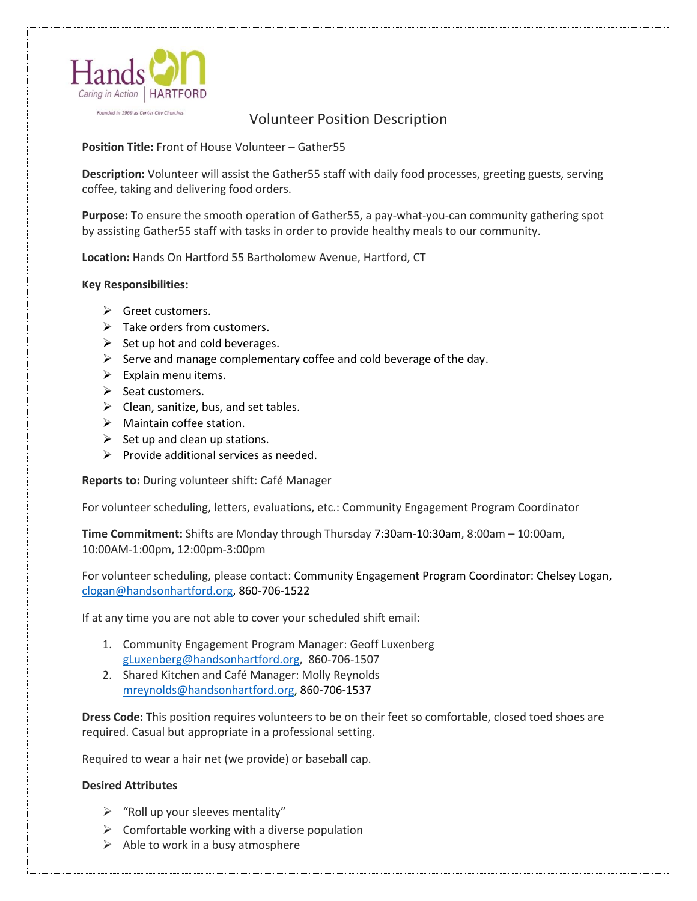

Founded in 1969 as Center City Churches

## Volunteer Position Description

**Position Title:** Front of House Volunteer – Gather55

**Description:** Volunteer will assist the Gather55 staff with daily food processes, greeting guests, serving coffee, taking and delivering food orders.

**Purpose:** To ensure the smooth operation of Gather55, a pay-what-you-can community gathering spot by assisting Gather55 staff with tasks in order to provide healthy meals to our community.

**Location:** Hands On Hartford 55 Bartholomew Avenue, Hartford, CT

## **Key Responsibilities:**

- ➢ Greet customers.
- $\triangleright$  Take orders from customers.
- $\triangleright$  Set up hot and cold beverages.
- $\triangleright$  Serve and manage complementary coffee and cold beverage of the day.
- $\triangleright$  Explain menu items.
- ➢ Seat customers.
- $\triangleright$  Clean, sanitize, bus, and set tables.
- $\triangleright$  Maintain coffee station.
- $\triangleright$  Set up and clean up stations.
- $\triangleright$  Provide additional services as needed.

**Reports to:** During volunteer shift: Café Manager

For volunteer scheduling, letters, evaluations, etc.: Community Engagement Program Coordinator

**Time Commitment:** Shifts are Monday through Thursday 7:30am-10:30am, 8:00am – 10:00am, 10:00AM-1:00pm, 12:00pm-3:00pm

For volunteer scheduling, please contact: Community Engagement Program Coordinator: Chelsey Logan, [clogan@handsonhartford.org,](mailto:clogan@handsonhartford.org) 860-706-1522

If at any time you are not able to cover your scheduled shift email:

- 1. Community Engagement Program Manager: Geoff Luxenberg [gLuxenberg@handsonhartford.org,](mailto:gLuxenberg@handsonhartford.org) 860-706-1507
- 2. Shared Kitchen and Café Manager: Molly Reynolds [mreynolds@handsonhartford.org,](mailto:mreynolds@handsonhartford.org) 860-706-1537

**Dress Code:** This position requires volunteers to be on their feet so comfortable, closed toed shoes are required. Casual but appropriate in a professional setting.

Required to wear a hair net (we provide) or baseball cap.

## **Desired Attributes**

- $\triangleright$  "Roll up your sleeves mentality"
- $\triangleright$  Comfortable working with a diverse population
- $\triangleright$  Able to work in a busy atmosphere